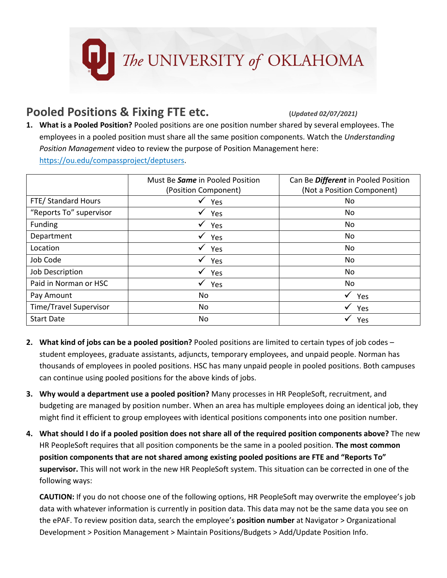

## **Pooled Positions & Fixing FTE etc. (***Updated 02/07/2021)*

**1. What is a Pooled Position?** Pooled positions are one position number shared by several employees. The employees in a pooled position must share all the same position components. Watch the *Understanding Position Management* video to review the purpose of Position Management here: [https://ou.edu/compassproject/deptusers.](https://ou.edu/compassproject/deptusers)

|                               | Must Be <b>Same</b> in Pooled Position | Can Be Different in Pooled Position |
|-------------------------------|----------------------------------------|-------------------------------------|
|                               | (Position Component)                   | (Not a Position Component)          |
| FTE/ Standard Hours           | Yes                                    | No                                  |
| "Reports To" supervisor       | Yes                                    | No                                  |
| Funding                       | Yes                                    | No                                  |
| Department                    | Yes                                    | No                                  |
| Location                      | Yes                                    | No                                  |
| Job Code                      | Yes                                    | No                                  |
| Job Description               | Yes                                    | No                                  |
| Paid in Norman or HSC         | Yes                                    | No                                  |
| Pay Amount                    | No                                     | Yes                                 |
| <b>Time/Travel Supervisor</b> | No                                     | Yes                                 |
| <b>Start Date</b>             | No                                     | Yes                                 |

- **2. What kind of jobs can be a pooled position?** Pooled positions are limited to certain types of job codes student employees, graduate assistants, adjuncts, temporary employees, and unpaid people. Norman has thousands of employees in pooled positions. HSC has many unpaid people in pooled positions. Both campuses can continue using pooled positions for the above kinds of jobs.
- **3. Why would a department use a pooled position?** Many processes in HR PeopleSoft, recruitment, and budgeting are managed by position number. When an area has multiple employees doing an identical job, they might find it efficient to group employees with identical positions components into one position number.
- **4. What should I do if a pooled position does not share all of the required position components above?** The new HR PeopleSoft requires that all position components be the same in a pooled position. **The most common position components that are not shared among existing pooled positions are FTE and "Reports To" supervisor.** This will not work in the new HR PeopleSoft system. This situation can be corrected in one of the following ways:

**CAUTION:** If you do not choose one of the following options, HR PeopleSoft may overwrite the employee's job data with whatever information is currently in position data. This data may not be the same data you see on the ePAF. To review position data, search the employee's **position number** at Navigator > Organizational Development > Position Management > Maintain Positions/Budgets > Add/Update Position Info.